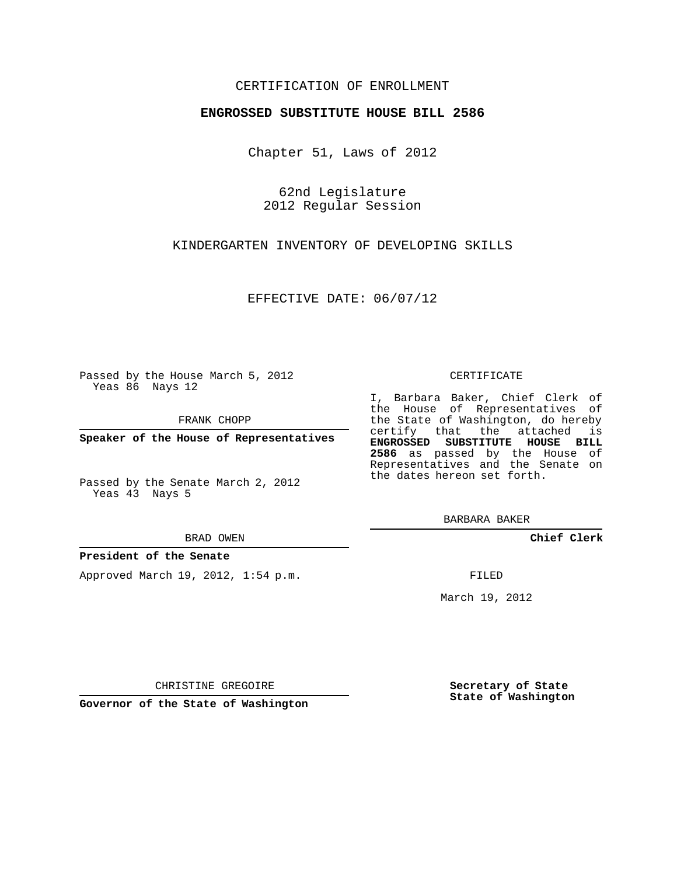## CERTIFICATION OF ENROLLMENT

### **ENGROSSED SUBSTITUTE HOUSE BILL 2586**

Chapter 51, Laws of 2012

62nd Legislature 2012 Regular Session

KINDERGARTEN INVENTORY OF DEVELOPING SKILLS

EFFECTIVE DATE: 06/07/12

Passed by the House March 5, 2012 Yeas 86 Nays 12

FRANK CHOPP

**Speaker of the House of Representatives**

Passed by the Senate March 2, 2012 Yeas 43 Nays 5

BRAD OWEN

#### **President of the Senate**

Approved March 19, 2012, 1:54 p.m.

CERTIFICATE

I, Barbara Baker, Chief Clerk of the House of Representatives of the State of Washington, do hereby certify that the attached is **ENGROSSED SUBSTITUTE HOUSE BILL 2586** as passed by the House of Representatives and the Senate on the dates hereon set forth.

BARBARA BAKER

**Chief Clerk**

FILED

March 19, 2012

**Secretary of State State of Washington**

CHRISTINE GREGOIRE

**Governor of the State of Washington**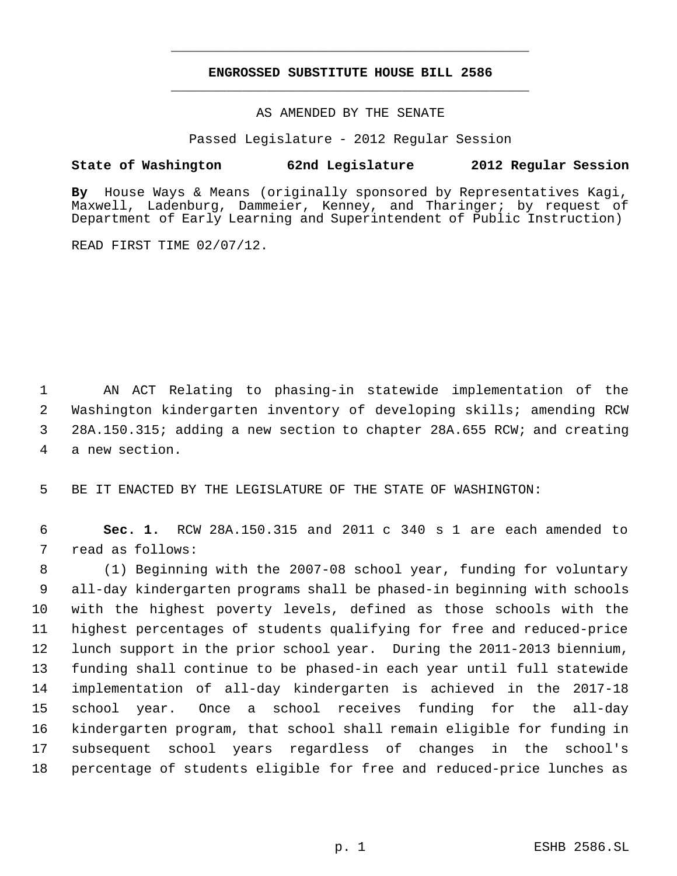# **ENGROSSED SUBSTITUTE HOUSE BILL 2586** \_\_\_\_\_\_\_\_\_\_\_\_\_\_\_\_\_\_\_\_\_\_\_\_\_\_\_\_\_\_\_\_\_\_\_\_\_\_\_\_\_\_\_\_\_

\_\_\_\_\_\_\_\_\_\_\_\_\_\_\_\_\_\_\_\_\_\_\_\_\_\_\_\_\_\_\_\_\_\_\_\_\_\_\_\_\_\_\_\_\_

AS AMENDED BY THE SENATE

Passed Legislature - 2012 Regular Session

## **State of Washington 62nd Legislature 2012 Regular Session**

**By** House Ways & Means (originally sponsored by Representatives Kagi, Maxwell, Ladenburg, Dammeier, Kenney, and Tharinger; by request of Department of Early Learning and Superintendent of Public Instruction)

READ FIRST TIME 02/07/12.

 AN ACT Relating to phasing-in statewide implementation of the Washington kindergarten inventory of developing skills; amending RCW 28A.150.315; adding a new section to chapter 28A.655 RCW; and creating a new section.

BE IT ENACTED BY THE LEGISLATURE OF THE STATE OF WASHINGTON:

 **Sec. 1.** RCW 28A.150.315 and 2011 c 340 s 1 are each amended to read as follows:

 (1) Beginning with the 2007-08 school year, funding for voluntary all-day kindergarten programs shall be phased-in beginning with schools with the highest poverty levels, defined as those schools with the highest percentages of students qualifying for free and reduced-price lunch support in the prior school year. During the 2011-2013 biennium, funding shall continue to be phased-in each year until full statewide implementation of all-day kindergarten is achieved in the 2017-18 school year. Once a school receives funding for the all-day kindergarten program, that school shall remain eligible for funding in subsequent school years regardless of changes in the school's percentage of students eligible for free and reduced-price lunches as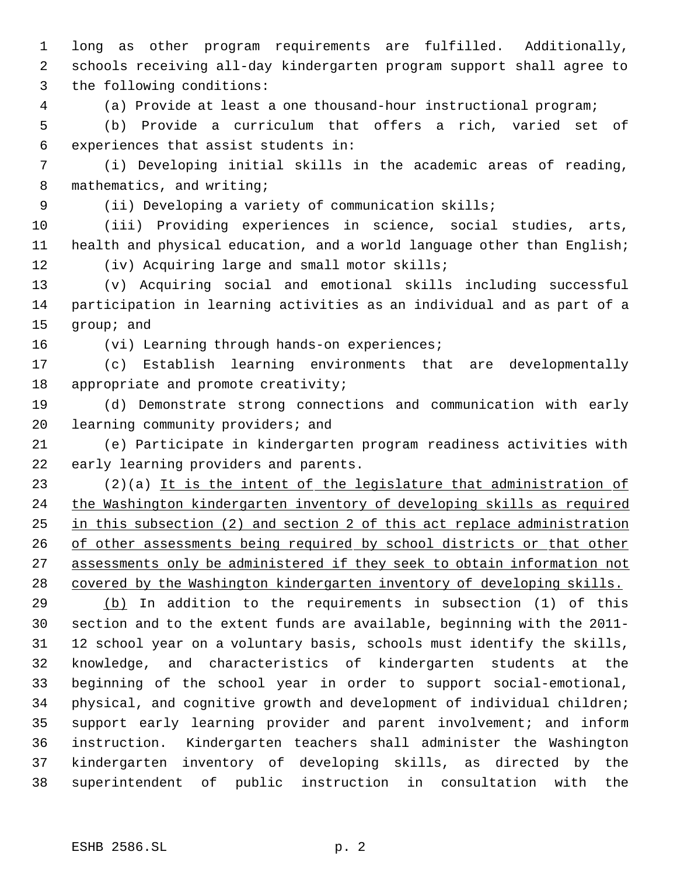long as other program requirements are fulfilled. Additionally, schools receiving all-day kindergarten program support shall agree to the following conditions:

(a) Provide at least a one thousand-hour instructional program;

 (b) Provide a curriculum that offers a rich, varied set of experiences that assist students in:

 (i) Developing initial skills in the academic areas of reading, 8 mathematics, and writing;

(ii) Developing a variety of communication skills;

 (iii) Providing experiences in science, social studies, arts, 11 health and physical education, and a world language other than English; (iv) Acquiring large and small motor skills;

 (v) Acquiring social and emotional skills including successful participation in learning activities as an individual and as part of a group; and

(vi) Learning through hands-on experiences;

 (c) Establish learning environments that are developmentally 18 appropriate and promote creativity;

 (d) Demonstrate strong connections and communication with early 20 learning community providers; and

 (e) Participate in kindergarten program readiness activities with early learning providers and parents.

23 (2)(a) It is the intent of the legislature that administration of the Washington kindergarten inventory of developing skills as required in this subsection (2) and section 2 of this act replace administration 26 of other assessments being required by school districts or that other assessments only be administered if they seek to obtain information not covered by the Washington kindergarten inventory of developing skills.

 (b) In addition to the requirements in subsection (1) of this section and to the extent funds are available, beginning with the 2011- 12 school year on a voluntary basis, schools must identify the skills, knowledge, and characteristics of kindergarten students at the beginning of the school year in order to support social-emotional, physical, and cognitive growth and development of individual children; support early learning provider and parent involvement; and inform instruction. Kindergarten teachers shall administer the Washington kindergarten inventory of developing skills, as directed by the superintendent of public instruction in consultation with the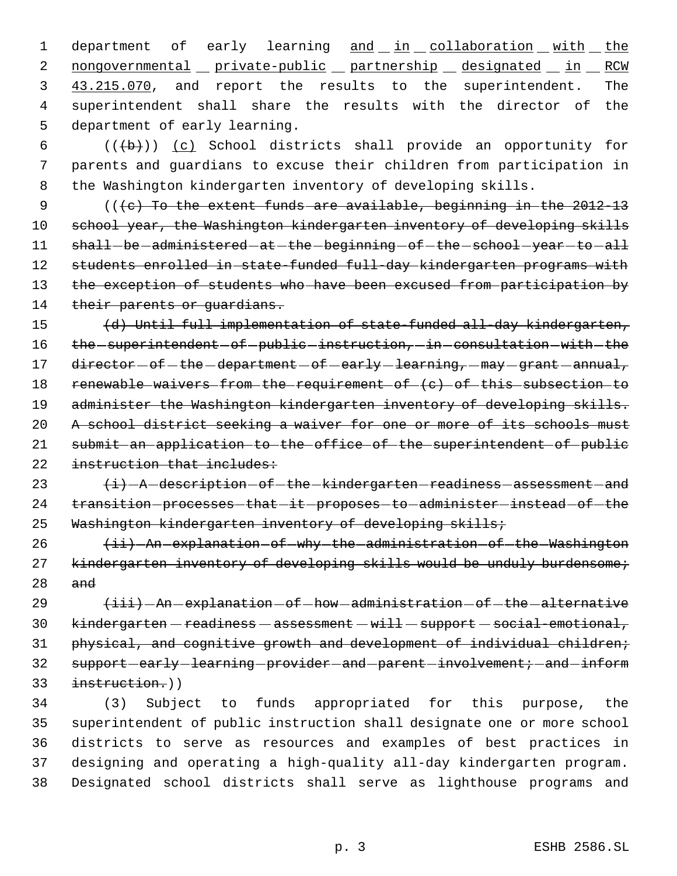1 department of early learning and in collaboration with the 2 nongovernmental private-public partnership designated in RCW 3 43.215.070, and report the results to the superintendent. The 4 superintendent shall share the results with the director of the 5 department of early learning.

6  $((\lbrace b \rbrace))$  (c) School districts shall provide an opportunity for 7 parents and guardians to excuse their children from participation in 8 the Washington kindergarten inventory of developing skills.

9 (((c) To the extent funds are available, beginning in the 2012-13 10 school year, the Washington kindergarten inventory of developing skills 11 shall-be-administered-at-the-beginning-of-the-school-year-to-all 12 students enrolled in state-funded full-day kindergarten programs with 13 the exception of students who have been excused from participation by 14 their parents or quardians.

15 (d) Until full implementation of state-funded all-day kindergarten, 16 the -superintendent - of -public -instruction, -in -consultation - with - the 17 director - of - the - department - of - early - learning, - may - grant - annual, 18 renewable waivers from the requirement of (c) of this subsection to 19 administer the Washington kindergarten inventory of developing skills. 20 A school district seeking a waiver for one or more of its schools must 21 submit an application to the office of the superintendent of public 22 instruction that includes:

23  $\{i\}$  A description of the kindergarten readiness assessment and 24 transition-processes-that-it-proposes-to-administer-instead-of-the 25 Washington kindergarten inventory of developing skills;

26 (ii) An explanation of why the administration of the Washington 27 kindergarten inventory of developing skills would be unduly burdensome; 28 and

 $\leftarrow$   $\leftarrow$   $\leftarrow$   $\leftarrow$   $\leftarrow$   $\leftarrow$   $\leftarrow$   $\leftarrow$   $\leftarrow$   $\leftarrow$   $\leftarrow$   $\leftarrow$   $\leftarrow$   $\leftarrow$   $\leftarrow$   $\leftarrow$   $\leftarrow$   $\leftarrow$   $\leftarrow$   $\leftarrow$   $\leftarrow$   $\leftarrow$   $\leftarrow$   $\leftarrow$   $\leftarrow$   $\leftarrow$   $\leftarrow$   $\leftarrow$   $\leftarrow$   $\leftarrow$   $\leftarrow$   $\leftarrow$   $\leftarrow$   $\leftarrow$   $\leftarrow$   $\leftarrow$   $\left$  kindergarten - readiness - assessment - will - support - social-emotional, physical, and cognitive growth and development of individual children; 32 support-early-learning-provider-and-parent-involvement; -and-inform instruction.))

 (3) Subject to funds appropriated for this purpose, the superintendent of public instruction shall designate one or more school districts to serve as resources and examples of best practices in designing and operating a high-quality all-day kindergarten program. Designated school districts shall serve as lighthouse programs and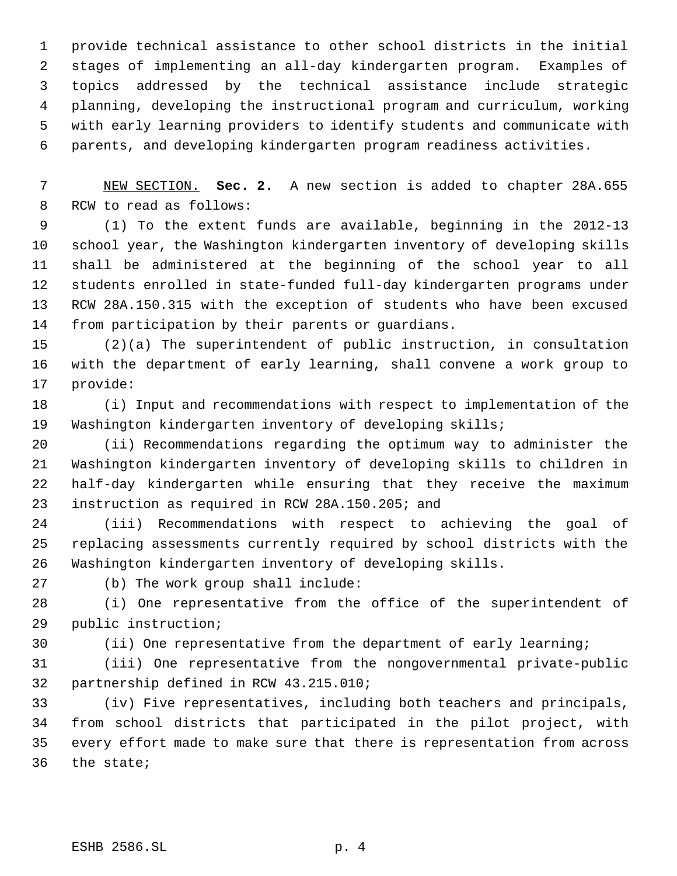provide technical assistance to other school districts in the initial stages of implementing an all-day kindergarten program. Examples of topics addressed by the technical assistance include strategic planning, developing the instructional program and curriculum, working with early learning providers to identify students and communicate with parents, and developing kindergarten program readiness activities.

 NEW SECTION. **Sec. 2.** A new section is added to chapter 28A.655 RCW to read as follows:

 (1) To the extent funds are available, beginning in the 2012-13 school year, the Washington kindergarten inventory of developing skills shall be administered at the beginning of the school year to all students enrolled in state-funded full-day kindergarten programs under RCW 28A.150.315 with the exception of students who have been excused from participation by their parents or guardians.

 (2)(a) The superintendent of public instruction, in consultation with the department of early learning, shall convene a work group to provide:

 (i) Input and recommendations with respect to implementation of the Washington kindergarten inventory of developing skills;

 (ii) Recommendations regarding the optimum way to administer the Washington kindergarten inventory of developing skills to children in half-day kindergarten while ensuring that they receive the maximum instruction as required in RCW 28A.150.205; and

 (iii) Recommendations with respect to achieving the goal of replacing assessments currently required by school districts with the Washington kindergarten inventory of developing skills.

(b) The work group shall include:

 (i) One representative from the office of the superintendent of public instruction;

(ii) One representative from the department of early learning;

 (iii) One representative from the nongovernmental private-public partnership defined in RCW 43.215.010;

 (iv) Five representatives, including both teachers and principals, from school districts that participated in the pilot project, with every effort made to make sure that there is representation from across the state;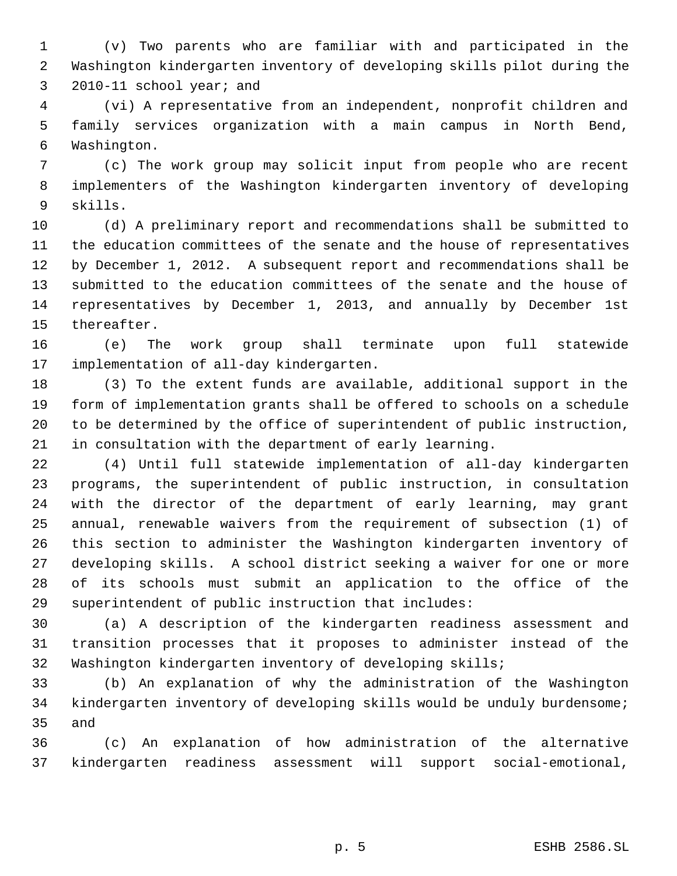(v) Two parents who are familiar with and participated in the Washington kindergarten inventory of developing skills pilot during the 2010-11 school year; and

 (vi) A representative from an independent, nonprofit children and family services organization with a main campus in North Bend, Washington.

 (c) The work group may solicit input from people who are recent implementers of the Washington kindergarten inventory of developing skills.

 (d) A preliminary report and recommendations shall be submitted to the education committees of the senate and the house of representatives by December 1, 2012. A subsequent report and recommendations shall be submitted to the education committees of the senate and the house of representatives by December 1, 2013, and annually by December 1st thereafter.

 (e) The work group shall terminate upon full statewide implementation of all-day kindergarten.

 (3) To the extent funds are available, additional support in the form of implementation grants shall be offered to schools on a schedule to be determined by the office of superintendent of public instruction, in consultation with the department of early learning.

 (4) Until full statewide implementation of all-day kindergarten programs, the superintendent of public instruction, in consultation with the director of the department of early learning, may grant annual, renewable waivers from the requirement of subsection (1) of this section to administer the Washington kindergarten inventory of developing skills. A school district seeking a waiver for one or more of its schools must submit an application to the office of the superintendent of public instruction that includes:

 (a) A description of the kindergarten readiness assessment and transition processes that it proposes to administer instead of the Washington kindergarten inventory of developing skills;

 (b) An explanation of why the administration of the Washington kindergarten inventory of developing skills would be unduly burdensome; and

 (c) An explanation of how administration of the alternative kindergarten readiness assessment will support social-emotional,